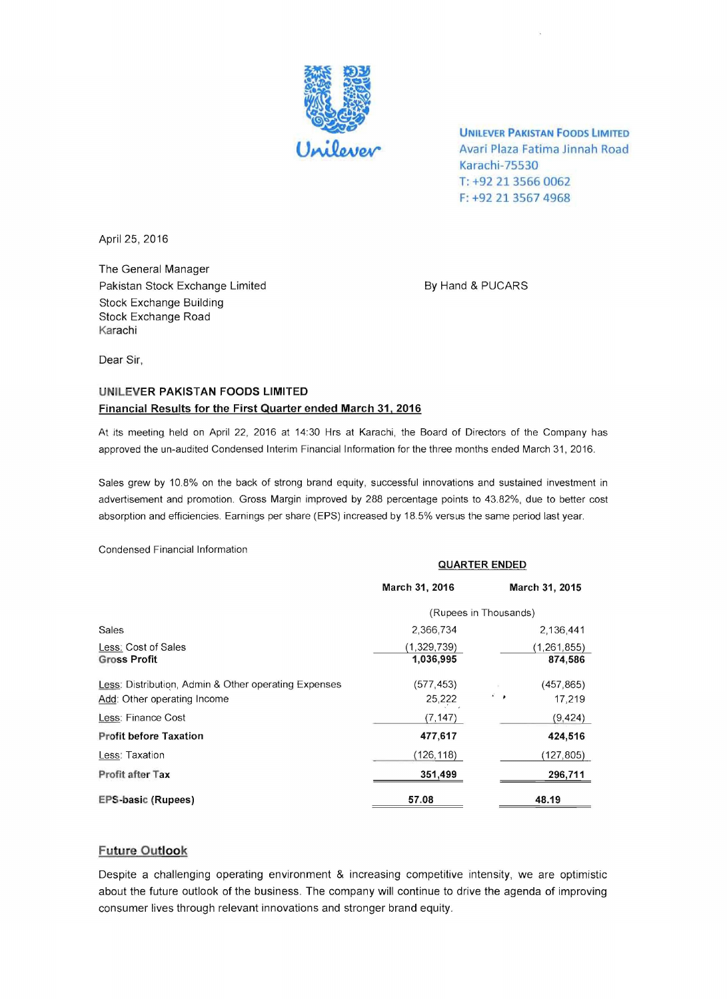

UNILEVER PAKISTAN FOODS LIMITED Avari Plaza Fatima Jinnah Road Karachi-75530 T: +92 21 3566 0062 F: +92 21 3567 4968

April 25, 2016

The General Manager Pakistan Stock Exchange Limited By Hand & PUCARS Stock Exchange Building Stock Exchange Road Karachi

Dear Sir,

## UNILEVER PAKISTAN FOODS LIMITED Financial Results for the First Quarter ended March 31, 2016

At its meeting held on April 22, 2016 at 14:30 Hrs at Karachi, the Board of Directors of the Company has approved the un-audited Condensed Interim Financial Information for the three months ended March 31, 2016.

Sales grew by 10.8% on the back of strong brand equity, successful innovations and sustained investment in advertisement and promotion. Gross Margin improved by 288 percentage points to 43.82%, due to better cost absorption and efficiencies. Earnings per share (EPS) increased by 18.5% versus the same period last year.

Condensed Financial Information

|                                                                                     | <b>QUARTER ENDED</b>     |                             |
|-------------------------------------------------------------------------------------|--------------------------|-----------------------------|
|                                                                                     | March 31, 2016           | March 31, 2015              |
|                                                                                     | (Rupees in Thousands)    |                             |
| Sales                                                                               | 2,366,734                | 2.136.441                   |
| Less: Cost of Sales<br><b>Gross Profit</b>                                          | (1,329,739)<br>1,036,995 | (1, 261, 855)<br>874,586    |
| Less: Distribution, Admin & Other operating Expenses<br>Add: Other operating Income | (577, 453)<br>25,222     | (457, 865)<br>் உ<br>17,219 |
| Less: Finance Cost                                                                  | (7, 147)                 | (9, 424)                    |
| <b>Profit before Taxation</b>                                                       | 477,617                  | 424,516                     |
| Less: Taxation                                                                      | (126, 118)               | (127, 805)                  |
| Profit after Tax                                                                    | 351,499                  | 296,711                     |
| <b>EPS-basic (Rupees)</b>                                                           | 57.08                    | 48.19                       |

## Future Outlook

Despite a challenging operating environment & increasing competitive intensity, we are optimistic about the future outlook of the business. The company will continue to drive the agenda of improving consumer lives through relevant innovations and stronger brand equity.